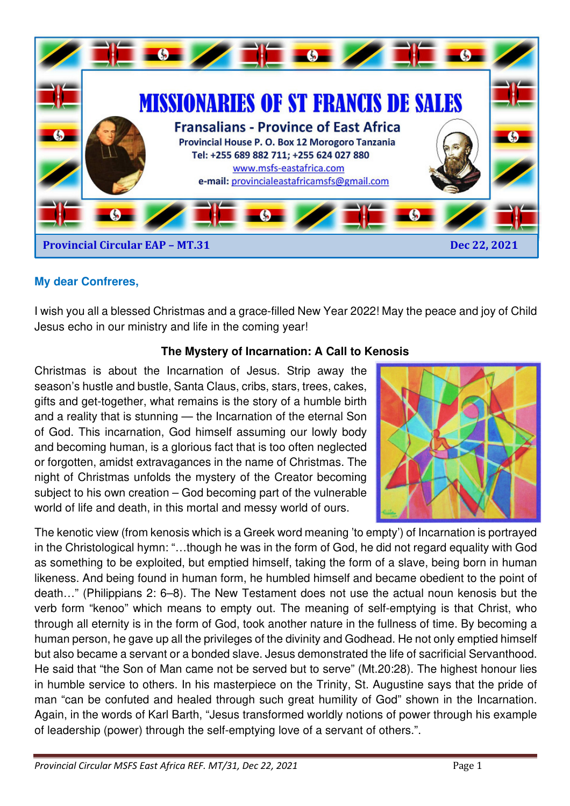

# **My dear Confreres,**

I wish you all a blessed Christmas and a grace-filled New Year 2022! May the peace and joy of Child Jesus echo in our ministry and life in the coming year!

### **The Mystery of Incarnation: A Call to Kenosis**

Christmas is about the Incarnation of Jesus. Strip away the season's hustle and bustle, Santa Claus, cribs, stars, trees, cakes, gifts and get-together, what remains is the story of a humble birth and a reality that is stunning — the Incarnation of the eternal Son of God. This incarnation, God himself assuming our lowly body and becoming human, is a glorious fact that is too often neglected or forgotten, amidst extravagances in the name of Christmas. The night of Christmas unfolds the mystery of the Creator becoming subject to his own creation – God becoming part of the vulnerable world of life and death, in this mortal and messy world of ours.



The kenotic view (from kenosis which is a Greek word meaning 'to empty') of Incarnation is portrayed in the Christological hymn: "…though he was in the form of God, he did not regard equality with God as something to be exploited, but emptied himself, taking the form of a slave, being born in human likeness. And being found in human form, he humbled himself and became obedient to the point of death…" (Philippians 2: 6–8). The New Testament does not use the actual noun kenosis but the verb form "kenoo" which means to empty out. The meaning of self-emptying is that Christ, who through all eternity is in the form of God, took another nature in the fullness of time. By becoming a human person, he gave up all the privileges of the divinity and Godhead. He not only emptied himself but also became a servant or a bonded slave. Jesus demonstrated the life of sacrificial Servanthood. He said that "the Son of Man came not be served but to serve" (Mt.20:28). The highest honour lies in humble service to others. In his masterpiece on the Trinity, St. Augustine says that the pride of man "can be confuted and healed through such great humility of God" shown in the Incarnation. Again, in the words of Karl Barth, "Jesus transformed worldly notions of power through his example of leadership (power) through the self-emptying love of a servant of others.".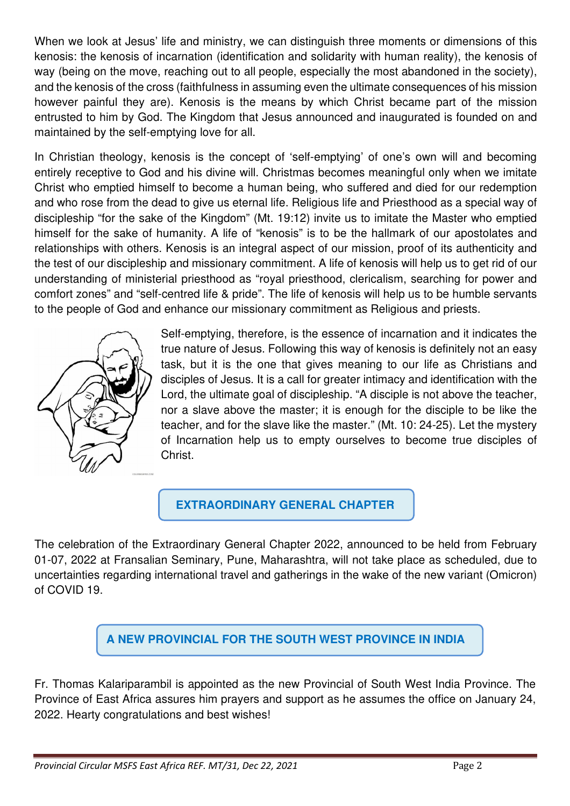When we look at Jesus' life and ministry, we can distinguish three moments or dimensions of this kenosis: the kenosis of incarnation (identification and solidarity with human reality), the kenosis of way (being on the move, reaching out to all people, especially the most abandoned in the society), and the kenosis of the cross (faithfulness in assuming even the ultimate consequences of his mission however painful they are). Kenosis is the means by which Christ became part of the mission entrusted to him by God. The Kingdom that Jesus announced and inaugurated is founded on and maintained by the self-emptying love for all.

In Christian theology, kenosis is the concept of 'self-emptying' of one's own will and becoming entirely receptive to God and his divine will. Christmas becomes meaningful only when we imitate Christ who emptied himself to become a human being, who suffered and died for our redemption and who rose from the dead to give us eternal life. Religious life and Priesthood as a special way of discipleship "for the sake of the Kingdom" (Mt. 19:12) invite us to imitate the Master who emptied himself for the sake of humanity. A life of "kenosis" is to be the hallmark of our apostolates and relationships with others. Kenosis is an integral aspect of our mission, proof of its authenticity and the test of our discipleship and missionary commitment. A life of kenosis will help us to get rid of our understanding of ministerial priesthood as "royal priesthood, clericalism, searching for power and comfort zones" and "self-centred life & pride". The life of kenosis will help us to be humble servants to the people of God and enhance our missionary commitment as Religious and priests.



Self-emptying, therefore, is the essence of incarnation and it indicates the true nature of Jesus. Following this way of kenosis is definitely not an easy task, but it is the one that gives meaning to our life as Christians and disciples of Jesus. It is a call for greater intimacy and identification with the Lord, the ultimate goal of discipleship. "A disciple is not above the teacher, nor a slave above the master; it is enough for the disciple to be like the teacher, and for the slave like the master." (Mt. 10: 24-25). Let the mystery of Incarnation help us to empty ourselves to become true disciples of Christ.

**EXTRAORDINARY GENERAL CHAPTER** 

The celebration of the Extraordinary General Chapter 2022, announced to be held from February 01-07, 2022 at Fransalian Seminary, Pune, Maharashtra, will not take place as scheduled, due to uncertainties regarding international travel and gatherings in the wake of the new variant (Omicron) of COVID 19.

**A NEW PROVINCIAL FOR THE SOUTH WEST PROVINCE IN INDIA** 

Fr. Thomas Kalariparambil is appointed as the new Provincial of South West India Province. The Province of East Africa assures him prayers and support as he assumes the office on January 24, 2022. Hearty congratulations and best wishes!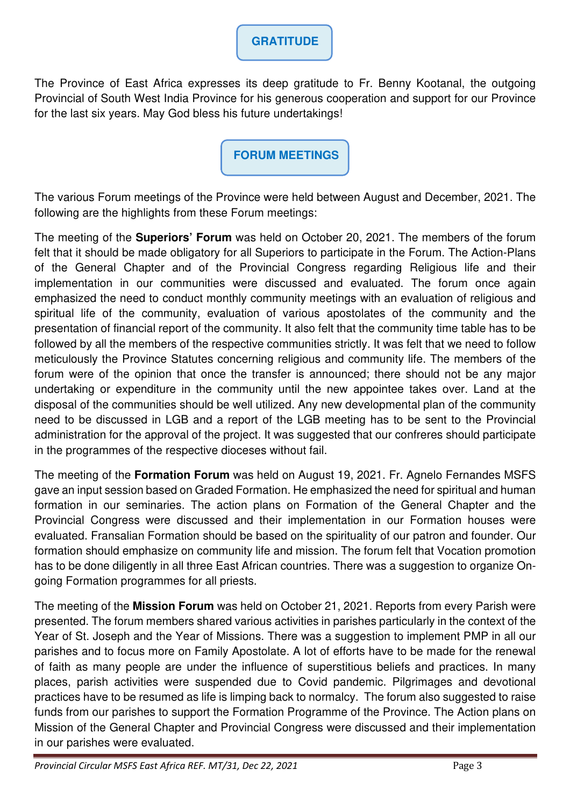# **GRATITUDE**

The Province of East Africa expresses its deep gratitude to Fr. Benny Kootanal, the outgoing Provincial of South West India Province for his generous cooperation and support for our Province for the last six years. May God bless his future undertakings!

**FORUM MEETINGS** 

The various Forum meetings of the Province were held between August and December, 2021. The following are the highlights from these Forum meetings:

The meeting of the **Superiors' Forum** was held on October 20, 2021. The members of the forum felt that it should be made obligatory for all Superiors to participate in the Forum. The Action-Plans of the General Chapter and of the Provincial Congress regarding Religious life and their implementation in our communities were discussed and evaluated. The forum once again emphasized the need to conduct monthly community meetings with an evaluation of religious and spiritual life of the community, evaluation of various apostolates of the community and the presentation of financial report of the community. It also felt that the community time table has to be followed by all the members of the respective communities strictly. It was felt that we need to follow meticulously the Province Statutes concerning religious and community life. The members of the forum were of the opinion that once the transfer is announced; there should not be any major undertaking or expenditure in the community until the new appointee takes over. Land at the disposal of the communities should be well utilized. Any new developmental plan of the community need to be discussed in LGB and a report of the LGB meeting has to be sent to the Provincial administration for the approval of the project. It was suggested that our confreres should participate in the programmes of the respective dioceses without fail.

The meeting of the **Formation Forum** was held on August 19, 2021. Fr. Agnelo Fernandes MSFS gave an input session based on Graded Formation. He emphasized the need for spiritual and human formation in our seminaries. The action plans on Formation of the General Chapter and the Provincial Congress were discussed and their implementation in our Formation houses were evaluated. Fransalian Formation should be based on the spirituality of our patron and founder. Our formation should emphasize on community life and mission. The forum felt that Vocation promotion has to be done diligently in all three East African countries. There was a suggestion to organize Ongoing Formation programmes for all priests.

The meeting of the **Mission Forum** was held on October 21, 2021. Reports from every Parish were presented. The forum members shared various activities in parishes particularly in the context of the Year of St. Joseph and the Year of Missions. There was a suggestion to implement PMP in all our parishes and to focus more on Family Apostolate. A lot of efforts have to be made for the renewal of faith as many people are under the influence of superstitious beliefs and practices. In many places, parish activities were suspended due to Covid pandemic. Pilgrimages and devotional practices have to be resumed as life is limping back to normalcy. The forum also suggested to raise funds from our parishes to support the Formation Programme of the Province. The Action plans on Mission of the General Chapter and Provincial Congress were discussed and their implementation in our parishes were evaluated.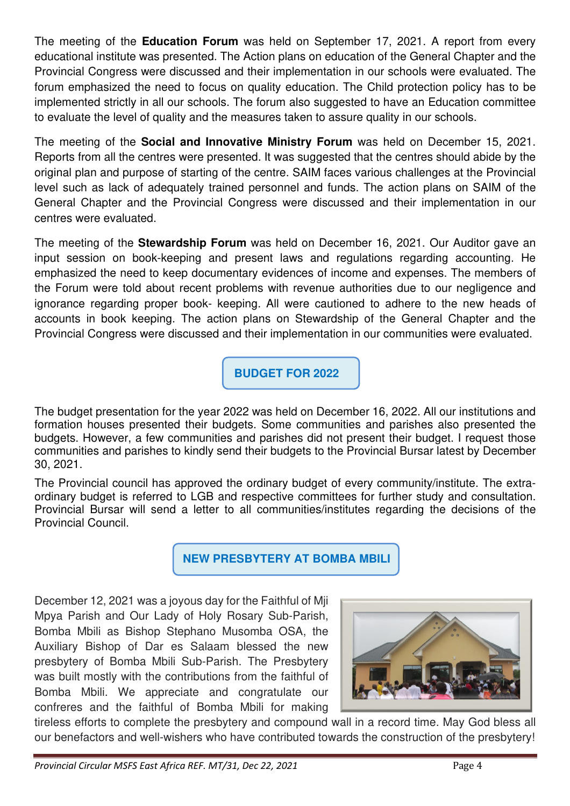The meeting of the **Education Forum** was held on September 17, 2021. A report from every educational institute was presented. The Action plans on education of the General Chapter and the Provincial Congress were discussed and their implementation in our schools were evaluated. The forum emphasized the need to focus on quality education. The Child protection policy has to be implemented strictly in all our schools. The forum also suggested to have an Education committee to evaluate the level of quality and the measures taken to assure quality in our schools.

The meeting of the **Social and Innovative Ministry Forum** was held on December 15, 2021. Reports from all the centres were presented. It was suggested that the centres should abide by the original plan and purpose of starting of the centre. SAIM faces various challenges at the Provincial level such as lack of adequately trained personnel and funds. The action plans on SAIM of the General Chapter and the Provincial Congress were discussed and their implementation in our centres were evaluated.

The meeting of the **Stewardship Forum** was held on December 16, 2021. Our Auditor gave an input session on book-keeping and present laws and regulations regarding accounting. He emphasized the need to keep documentary evidences of income and expenses. The members of the Forum were told about recent problems with revenue authorities due to our negligence and ignorance regarding proper book- keeping. All were cautioned to adhere to the new heads of accounts in book keeping. The action plans on Stewardship of the General Chapter and the Provincial Congress were discussed and their implementation in our communities were evaluated.

 **BUDGET FOR 2022** 

The budget presentation for the year 2022 was held on December 16, 2022. All our institutions and formation houses presented their budgets. Some communities and parishes also presented the budgets. However, a few communities and parishes did not present their budget. I request those communities and parishes to kindly send their budgets to the Provincial Bursar latest by December 30, 2021.

The Provincial council has approved the ordinary budget of every community/institute. The extraordinary budget is referred to LGB and respective committees for further study and consultation. Provincial Bursar will send a letter to all communities/institutes regarding the decisions of the Provincial Council.

 **NEW PRESBYTERY AT BOMBA MBILI** 

December 12, 2021 was a joyous day for the Faithful of Mji Mpya Parish and Our Lady of Holy Rosary Sub-Parish, Bomba Mbili as Bishop Stephano Musomba OSA, the Auxiliary Bishop of Dar es Salaam blessed the new presbytery of Bomba Mbili Sub-Parish. The Presbytery was built mostly with the contributions from the faithful of Bomba Mbili. We appreciate and congratulate our confreres and the faithful of Bomba Mbili for making



tireless efforts to complete the presbytery and compound wall in a record time. May God bless all our benefactors and well-wishers who have contributed towards the construction of the presbytery!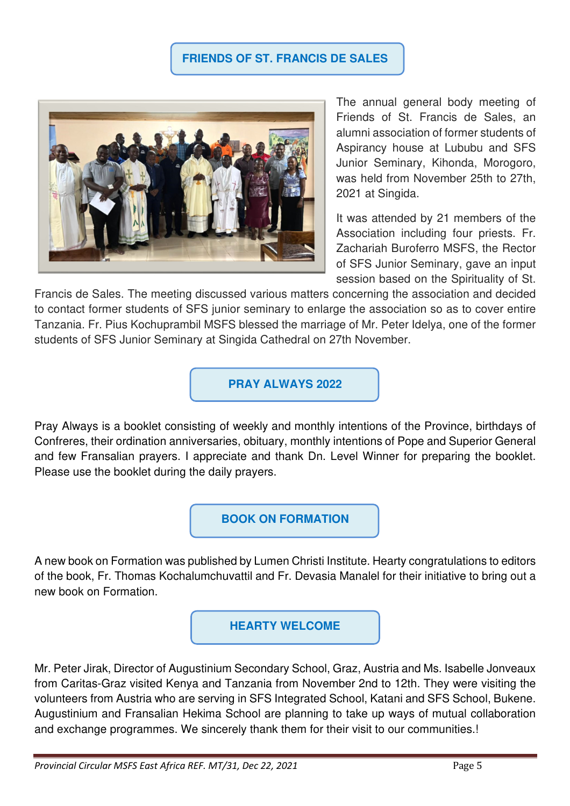#### **FRIENDS OF ST. FRANCIS DE SALES**



The annual general body meeting of Friends of St. Francis de Sales, an alumni association of former students of Aspirancy house at Lububu and SFS Junior Seminary, Kihonda, Morogoro, was held from November 25th to 27th, 2021 at Singida.

It was attended by 21 members of the Association including four priests. Fr. Zachariah Buroferro MSFS, the Rector of SFS Junior Seminary, gave an input session based on the Spirituality of St.

Francis de Sales. The meeting discussed various matters concerning the association and decided to contact former students of SFS junior seminary to enlarge the association so as to cover entire Tanzania. Fr. Pius Kochuprambil MSFS blessed the marriage of Mr. Peter Idelya, one of the former students of SFS Junior Seminary at Singida Cathedral on 27th November.

**PRAY ALWAYS 2022**

Pray Always is a booklet consisting of weekly and monthly intentions of the Province, birthdays of Confreres, their ordination anniversaries, obituary, monthly intentions of Pope and Superior General and few Fransalian prayers. I appreciate and thank Dn. Level Winner for preparing the booklet. Please use the booklet during the daily prayers.

**BOOK ON FORMATION** 

A new book on Formation was published by Lumen Christi Institute. Hearty congratulations to editors of the book, Fr. Thomas Kochalumchuvattil and Fr. Devasia Manalel for their initiative to bring out a new book on Formation.

**HEARTY WELCOME** 

Mr. Peter Jirak, Director of Augustinium Secondary School, Graz, Austria and Ms. Isabelle Jonveaux from Caritas-Graz visited Kenya and Tanzania from November 2nd to 12th. They were visiting the volunteers from Austria who are serving in SFS Integrated School, Katani and SFS School, Bukene. Augustinium and Fransalian Hekima School are planning to take up ways of mutual collaboration and exchange programmes. We sincerely thank them for their visit to our communities.!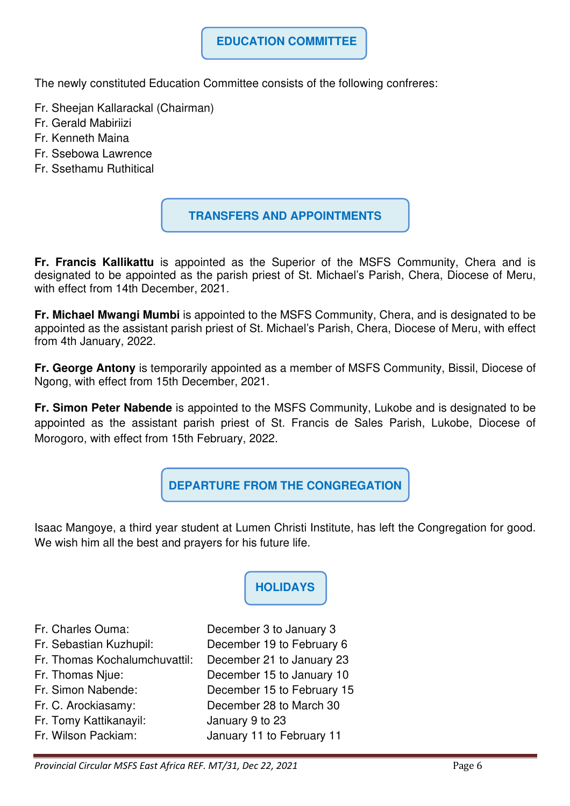### **EDUCATION COMMITTEE**

The newly constituted Education Committee consists of the following confreres:

- Fr. Sheejan Kallarackal (Chairman)
- Fr. Gerald Mabiriizi
- Fr. Kenneth Maina
- Fr. Ssebowa Lawrence
- Fr. Ssethamu Ruthitical

#### **TRANSFERS AND APPOINTMENTS**

**Fr. Francis Kallikattu** is appointed as the Superior of the MSFS Community, Chera and is designated to be appointed as the parish priest of St. Michael's Parish, Chera, Diocese of Meru, with effect from 14th December, 2021.

**Fr. Michael Mwangi Mumbi** is appointed to the MSFS Community, Chera, and is designated to be appointed as the assistant parish priest of St. Michael's Parish, Chera, Diocese of Meru, with effect from 4th January, 2022.

**Fr. George Antony** is temporarily appointed as a member of MSFS Community, Bissil, Diocese of Ngong, with effect from 15th December, 2021.

**Fr. Simon Peter Nabende** is appointed to the MSFS Community, Lukobe and is designated to be appointed as the assistant parish priest of St. Francis de Sales Parish, Lukobe, Diocese of Morogoro, with effect from 15th February, 2022.

**DEPARTURE FROM THE CONGREGATION**

Isaac Mangoye, a third year student at Lumen Christi Institute, has left the Congregation for good. We wish him all the best and prayers for his future life.

**HOLIDAYS** 

- Fr. Charles Ouma: December 3 to January 3
- Fr. Sebastian Kuzhupil: December 19 to February 6 Fr. Thomas Kochalumchuvattil: December 21 to January 23
- 
- 
- 
- 
- Fr. Tomy Kattikanayil: January 9 to 23
- 

Fr. Thomas Njue: December 15 to January 10 Fr. Simon Nabende: December 15 to February 15 Fr. C. Arockiasamy: December 28 to March 30 Fr. Wilson Packiam: January 11 to February 11